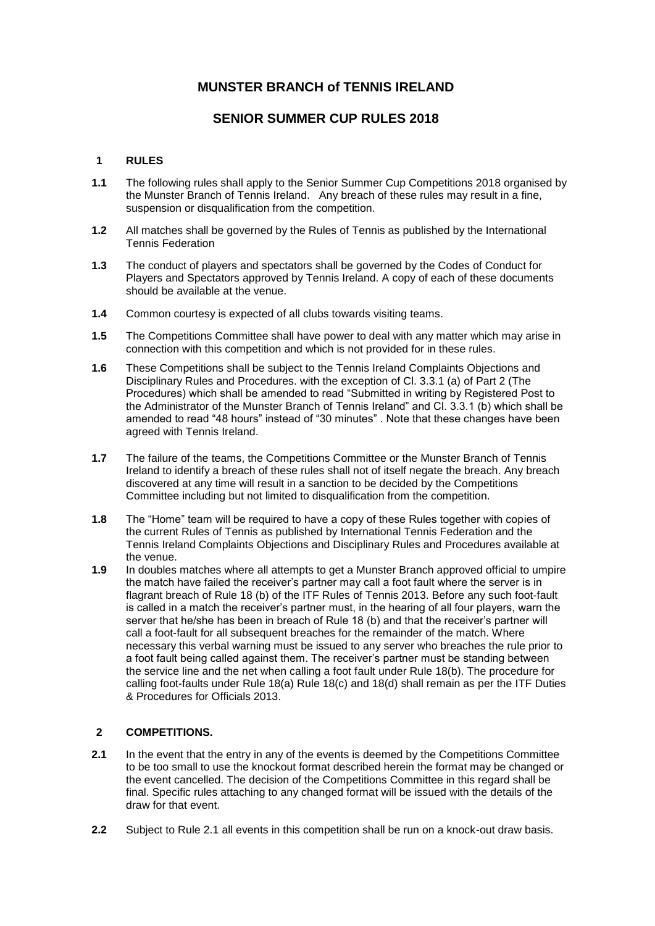# **MUNSTER BRANCH of TENNIS IRELAND**

### **SENIOR SUMMER CUP RULES 2018**

#### **1 RULES**

- **1.1** The following rules shall apply to the Senior Summer Cup Competitions 2018 organised by the Munster Branch of Tennis Ireland. Any breach of these rules may result in a fine, suspension or disqualification from the competition.
- **1.2** All matches shall be governed by the Rules of Tennis as published by the International Tennis Federation
- **1.3** The conduct of players and spectators shall be governed by the Codes of Conduct for Players and Spectators approved by Tennis Ireland. A copy of each of these documents should be available at the venue.
- **1.4** Common courtesy is expected of all clubs towards visiting teams.
- **1.5** The Competitions Committee shall have power to deal with any matter which may arise in connection with this competition and which is not provided for in these rules.
- **1.6** These Competitions shall be subject to the Tennis Ireland Complaints Objections and Disciplinary Rules and Procedures. with the exception of Cl. 3.3.1 (a) of Part 2 (The Procedures) which shall be amended to read "Submitted in writing by Registered Post to the Administrator of the Munster Branch of Tennis Ireland" and Cl. 3.3.1 (b) which shall be amended to read "48 hours" instead of "30 minutes" . Note that these changes have been agreed with Tennis Ireland.
- **1.7** The failure of the teams, the Competitions Committee or the Munster Branch of Tennis Ireland to identify a breach of these rules shall not of itself negate the breach. Any breach discovered at any time will result in a sanction to be decided by the Competitions Committee including but not limited to disqualification from the competition.
- **1.8** The "Home" team will be required to have a copy of these Rules together with copies of the current Rules of Tennis as published by International Tennis Federation and the Tennis Ireland Complaints Objections and Disciplinary Rules and Procedures available at the venue.
- **1.9** In doubles matches where all attempts to get a Munster Branch approved official to umpire the match have failed the receiver's partner may call a foot fault where the server is in flagrant breach of Rule 18 (b) of the ITF Rules of Tennis 2013. Before any such foot-fault is called in a match the receiver's partner must, in the hearing of all four players, warn the server that he/she has been in breach of Rule 18 (b) and that the receiver's partner will call a foot-fault for all subsequent breaches for the remainder of the match. Where necessary this verbal warning must be issued to any server who breaches the rule prior to a foot fault being called against them. The receiver's partner must be standing between the service line and the net when calling a foot fault under Rule 18(b). The procedure for calling foot-faults under Rule 18(a) Rule 18(c) and 18(d) shall remain as per the ITF Duties & Procedures for Officials 2013.

#### **2 COMPETITIONS.**

- **2.1** In the event that the entry in any of the events is deemed by the Competitions Committee to be too small to use the knockout format described herein the format may be changed or the event cancelled. The decision of the Competitions Committee in this regard shall be final. Specific rules attaching to any changed format will be issued with the details of the draw for that event.
- **2.2** Subject to Rule 2.1 all events in this competition shall be run on a knock-out draw basis.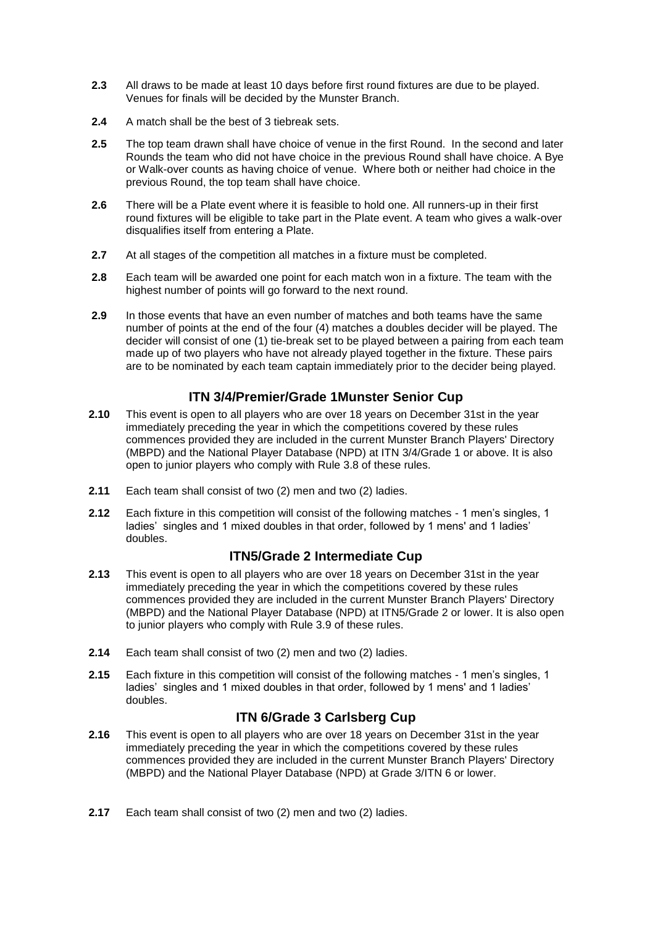- **2.3** All draws to be made at least 10 days before first round fixtures are due to be played. Venues for finals will be decided by the Munster Branch.
- **2.4** A match shall be the best of 3 tiebreak sets.
- **2.5** The top team drawn shall have choice of venue in the first Round. In the second and later Rounds the team who did not have choice in the previous Round shall have choice. A Bye or Walk-over counts as having choice of venue. Where both or neither had choice in the previous Round, the top team shall have choice.
- **2.6** There will be a Plate event where it is feasible to hold one. All runners-up in their first round fixtures will be eligible to take part in the Plate event. A team who gives a walk-over disqualifies itself from entering a Plate.
- **2.7** At all stages of the competition all matches in a fixture must be completed.
- **2.8** Each team will be awarded one point for each match won in a fixture. The team with the highest number of points will go forward to the next round.
- **2.9** In those events that have an even number of matches and both teams have the same number of points at the end of the four (4) matches a doubles decider will be played. The decider will consist of one (1) tie-break set to be played between a pairing from each team made up of two players who have not already played together in the fixture. These pairs are to be nominated by each team captain immediately prior to the decider being played.

## **ITN 3/4/Premier/Grade 1Munster Senior Cup**

- **2.10** This event is open to all players who are over 18 years on December 31st in the year immediately preceding the year in which the competitions covered by these rules commences provided they are included in the current Munster Branch Players' Directory (MBPD) and the National Player Database (NPD) at ITN 3/4/Grade 1 or above. It is also open to junior players who comply with Rule 3.8 of these rules.
- **2.11** Each team shall consist of two (2) men and two (2) ladies.
- **2.12** Each fixture in this competition will consist of the following matches 1 men's singles, 1 ladies' singles and 1 mixed doubles in that order, followed by 1 mens' and 1 ladies' doubles.

### **ITN5/Grade 2 Intermediate Cup**

- **2.13** This event is open to all players who are over 18 years on December 31st in the year immediately preceding the year in which the competitions covered by these rules commences provided they are included in the current Munster Branch Players' Directory (MBPD) and the National Player Database (NPD) at ITN5/Grade 2 or lower. It is also open to junior players who comply with Rule 3.9 of these rules.
- **2.14** Each team shall consist of two (2) men and two (2) ladies.
- **2.15** Each fixture in this competition will consist of the following matches 1 men's singles, 1 ladies' singles and 1 mixed doubles in that order, followed by 1 mens' and 1 ladies' doubles.

## **ITN 6/Grade 3 Carlsberg Cup**

- **2.16** This event is open to all players who are over 18 years on December 31st in the year immediately preceding the year in which the competitions covered by these rules commences provided they are included in the current Munster Branch Players' Directory (MBPD) and the National Player Database (NPD) at Grade 3/ITN 6 or lower.
- **2.17** Each team shall consist of two (2) men and two (2) ladies.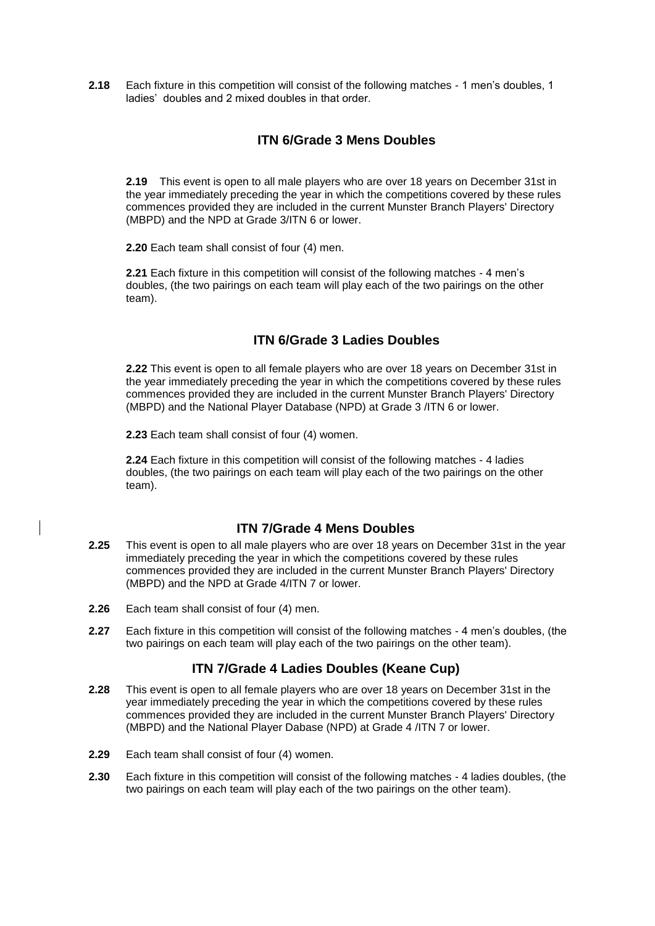**2.18** Each fixture in this competition will consist of the following matches - 1 men's doubles, 1 ladies' doubles and 2 mixed doubles in that order.

## **ITN 6/Grade 3 Mens Doubles**

**2.19** This event is open to all male players who are over 18 years on December 31st in the year immediately preceding the year in which the competitions covered by these rules commences provided they are included in the current Munster Branch Players' Directory (MBPD) and the NPD at Grade 3/ITN 6 or lower.

**2.20** Each team shall consist of four (4) men.

**2.21** Each fixture in this competition will consist of the following matches - 4 men's doubles, (the two pairings on each team will play each of the two pairings on the other team).

# **ITN 6/Grade 3 Ladies Doubles**

**2.22** This event is open to all female players who are over 18 years on December 31st in the year immediately preceding the year in which the competitions covered by these rules commences provided they are included in the current Munster Branch Players' Directory (MBPD) and the National Player Database (NPD) at Grade 3 /ITN 6 or lower.

**2.23** Each team shall consist of four (4) women.

**2.24** Each fixture in this competition will consist of the following matches - 4 ladies doubles, (the two pairings on each team will play each of the two pairings on the other team).

## **ITN 7/Grade 4 Mens Doubles**

- **2.25** This event is open to all male players who are over 18 years on December 31st in the year immediately preceding the year in which the competitions covered by these rules commences provided they are included in the current Munster Branch Players' Directory (MBPD) and the NPD at Grade 4/ITN 7 or lower.
- **2.26** Each team shall consist of four (4) men.
- **2.27** Each fixture in this competition will consist of the following matches 4 men's doubles, (the two pairings on each team will play each of the two pairings on the other team).

## **ITN 7/Grade 4 Ladies Doubles (Keane Cup)**

- **2.28** This event is open to all female players who are over 18 years on December 31st in the year immediately preceding the year in which the competitions covered by these rules commences provided they are included in the current Munster Branch Players' Directory (MBPD) and the National Player Dabase (NPD) at Grade 4 /ITN 7 or lower.
- **2.29** Each team shall consist of four (4) women.
- **2.30** Each fixture in this competition will consist of the following matches 4 ladies doubles, (the two pairings on each team will play each of the two pairings on the other team).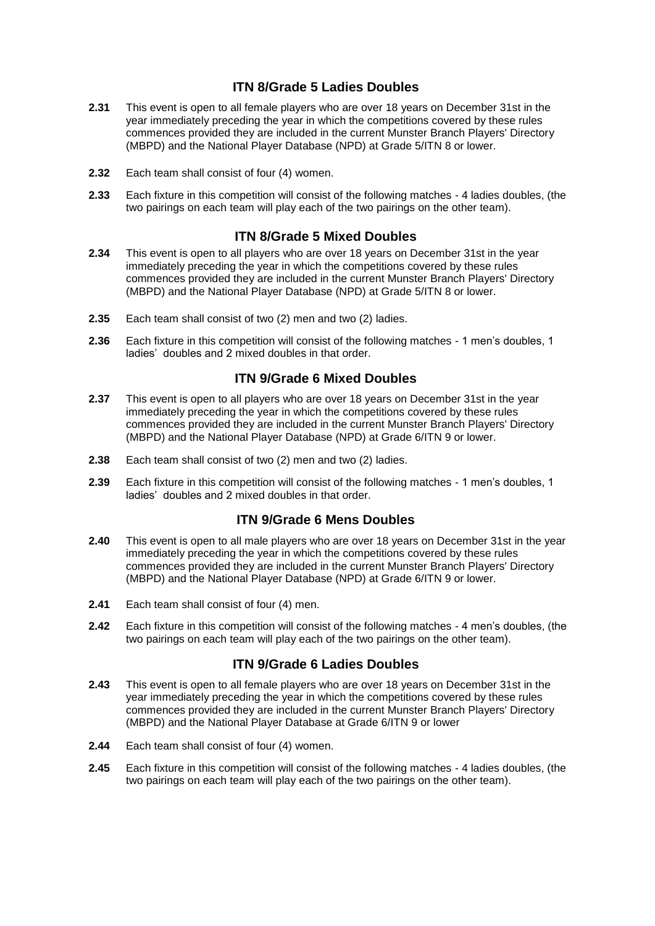## **ITN 8/Grade 5 Ladies Doubles**

- **2.31** This event is open to all female players who are over 18 years on December 31st in the year immediately preceding the year in which the competitions covered by these rules commences provided they are included in the current Munster Branch Players' Directory (MBPD) and the National Player Database (NPD) at Grade 5/ITN 8 or lower.
- **2.32** Each team shall consist of four (4) women.
- **2.33** Each fixture in this competition will consist of the following matches 4 ladies doubles, (the two pairings on each team will play each of the two pairings on the other team).

## **ITN 8/Grade 5 Mixed Doubles**

- **2.34** This event is open to all players who are over 18 years on December 31st in the year immediately preceding the year in which the competitions covered by these rules commences provided they are included in the current Munster Branch Players' Directory (MBPD) and the National Player Database (NPD) at Grade 5/ITN 8 or lower.
- **2.35** Each team shall consist of two (2) men and two (2) ladies.
- **2.36** Each fixture in this competition will consist of the following matches 1 men's doubles, 1 ladies' doubles and 2 mixed doubles in that order.

### **ITN 9/Grade 6 Mixed Doubles**

- **2.37** This event is open to all players who are over 18 years on December 31st in the year immediately preceding the year in which the competitions covered by these rules commences provided they are included in the current Munster Branch Players' Directory (MBPD) and the National Player Database (NPD) at Grade 6/ITN 9 or lower.
- **2.38** Each team shall consist of two (2) men and two (2) ladies.
- **2.39** Each fixture in this competition will consist of the following matches 1 men's doubles, 1 ladies' doubles and 2 mixed doubles in that order.

### **ITN 9/Grade 6 Mens Doubles**

- **2.40** This event is open to all male players who are over 18 years on December 31st in the year immediately preceding the year in which the competitions covered by these rules commences provided they are included in the current Munster Branch Players' Directory (MBPD) and the National Player Database (NPD) at Grade 6/ITN 9 or lower.
- **2.41** Each team shall consist of four (4) men.
- **2.42** Each fixture in this competition will consist of the following matches 4 men's doubles, (the two pairings on each team will play each of the two pairings on the other team).

### **ITN 9/Grade 6 Ladies Doubles**

- **2.43** This event is open to all female players who are over 18 years on December 31st in the year immediately preceding the year in which the competitions covered by these rules commences provided they are included in the current Munster Branch Players' Directory (MBPD) and the National Player Database at Grade 6/ITN 9 or lower
- **2.44** Each team shall consist of four (4) women.
- **2.45** Each fixture in this competition will consist of the following matches 4 ladies doubles, (the two pairings on each team will play each of the two pairings on the other team).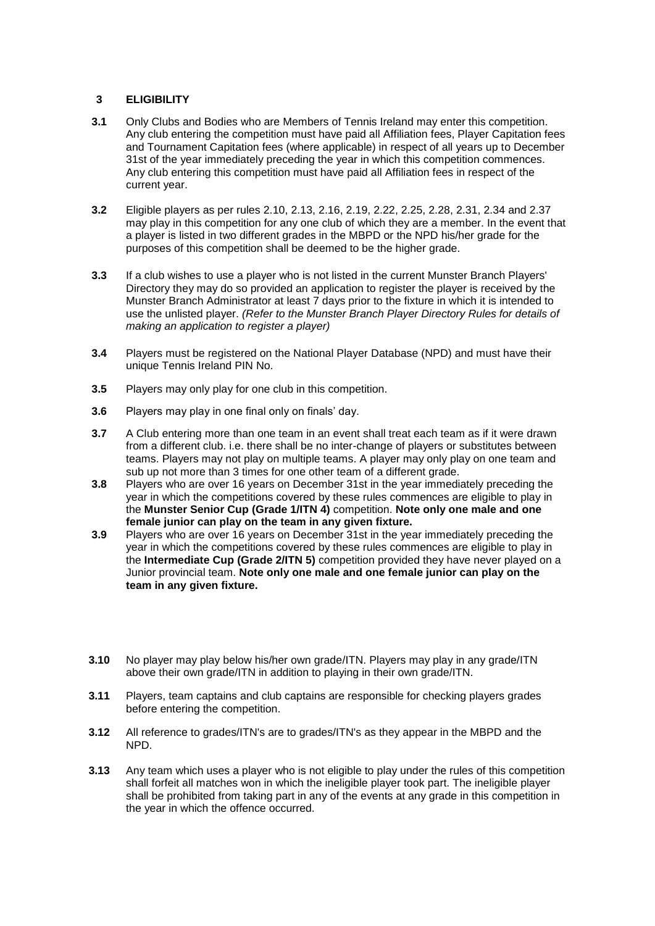#### **3 ELIGIBILITY**

- **3.1** Only Clubs and Bodies who are Members of Tennis Ireland may enter this competition. Any club entering the competition must have paid all Affiliation fees, Player Capitation fees and Tournament Capitation fees (where applicable) in respect of all years up to December 31st of the year immediately preceding the year in which this competition commences. Any club entering this competition must have paid all Affiliation fees in respect of the current year.
- **3.2** Eligible players as per rules 2.10, 2.13, 2.16, 2.19, 2.22, 2.25, 2.28, 2.31, 2.34 and 2.37 may play in this competition for any one club of which they are a member. In the event that a player is listed in two different grades in the MBPD or the NPD his/her grade for the purposes of this competition shall be deemed to be the higher grade.
- **3.3** If a club wishes to use a player who is not listed in the current Munster Branch Players' Directory they may do so provided an application to register the player is received by the Munster Branch Administrator at least 7 days prior to the fixture in which it is intended to use the unlisted player. *(Refer to the Munster Branch Player Directory Rules for details of making an application to register a player)*
- **3.4** Players must be registered on the National Player Database (NPD) and must have their unique Tennis Ireland PIN No.
- **3.5** Players may only play for one club in this competition.
- **3.6** Players may play in one final only on finals' day.
- **3.7** A Club entering more than one team in an event shall treat each team as if it were drawn from a different club. i.e. there shall be no inter-change of players or substitutes between teams. Players may not play on multiple teams. A player may only play on one team and sub up not more than 3 times for one other team of a different grade.
- **3.8** Players who are over 16 years on December 31st in the year immediately preceding the year in which the competitions covered by these rules commences are eligible to play in the **Munster Senior Cup (Grade 1/ITN 4)** competition. **Note only one male and one female junior can play on the team in any given fixture.**
- **3.9** Players who are over 16 years on December 31st in the year immediately preceding the year in which the competitions covered by these rules commences are eligible to play in the **Intermediate Cup (Grade 2/ITN 5)** competition provided they have never played on a Junior provincial team. **Note only one male and one female junior can play on the team in any given fixture.**
- **3.10** No player may play below his/her own grade/ITN. Players may play in any grade/ITN above their own grade/ITN in addition to playing in their own grade/ITN.
- **3.11** Players, team captains and club captains are responsible for checking players grades before entering the competition.
- **3.12** All reference to grades/ITN's are to grades/ITN's as they appear in the MBPD and the NPD.
- **3.13** Any team which uses a player who is not eligible to play under the rules of this competition shall forfeit all matches won in which the ineligible player took part. The ineligible player shall be prohibited from taking part in any of the events at any grade in this competition in the year in which the offence occurred.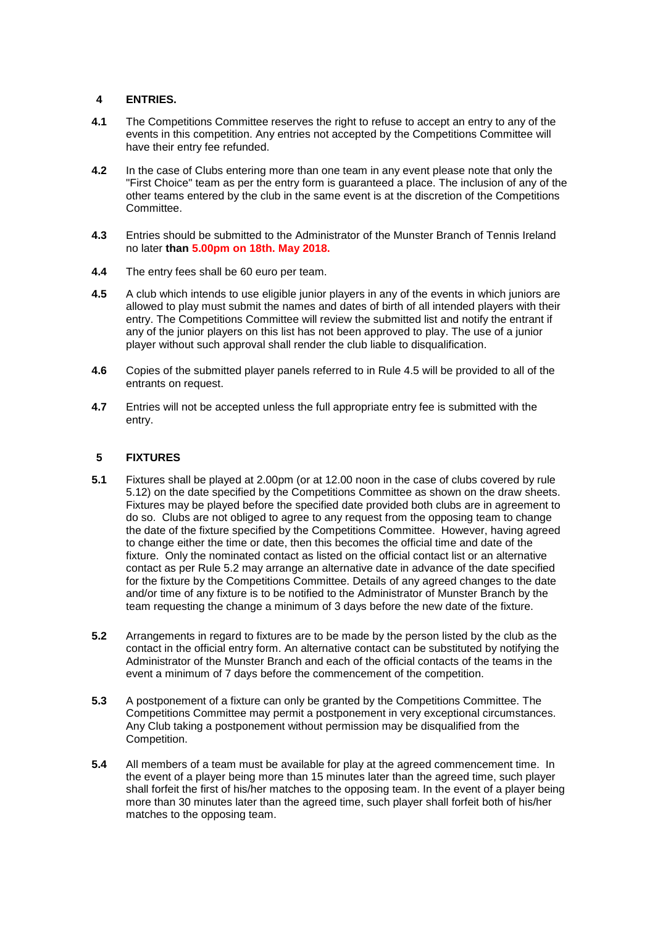#### **4 ENTRIES.**

- **4.1** The Competitions Committee reserves the right to refuse to accept an entry to any of the events in this competition. Any entries not accepted by the Competitions Committee will have their entry fee refunded.
- **4.2** In the case of Clubs entering more than one team in any event please note that only the "First Choice" team as per the entry form is guaranteed a place. The inclusion of any of the other teams entered by the club in the same event is at the discretion of the Competitions Committee.
- **4.3** Entries should be submitted to the Administrator of the Munster Branch of Tennis Ireland no later **than 5.00pm on 18th. May 2018.**
- **4.4** The entry fees shall be 60 euro per team.
- **4.5** A club which intends to use eligible junior players in any of the events in which juniors are allowed to play must submit the names and dates of birth of all intended players with their entry. The Competitions Committee will review the submitted list and notify the entrant if any of the junior players on this list has not been approved to play. The use of a junior player without such approval shall render the club liable to disqualification.
- **4.6** Copies of the submitted player panels referred to in Rule 4.5 will be provided to all of the entrants on request.
- **4.7** Entries will not be accepted unless the full appropriate entry fee is submitted with the entry.

#### **5 FIXTURES**

- **5.1** Fixtures shall be played at 2.00pm (or at 12.00 noon in the case of clubs covered by rule 5.12) on the date specified by the Competitions Committee as shown on the draw sheets. Fixtures may be played before the specified date provided both clubs are in agreement to do so. Clubs are not obliged to agree to any request from the opposing team to change the date of the fixture specified by the Competitions Committee. However, having agreed to change either the time or date, then this becomes the official time and date of the fixture. Only the nominated contact as listed on the official contact list or an alternative contact as per Rule 5.2 may arrange an alternative date in advance of the date specified for the fixture by the Competitions Committee. Details of any agreed changes to the date and/or time of any fixture is to be notified to the Administrator of Munster Branch by the team requesting the change a minimum of 3 days before the new date of the fixture.
- **5.2** Arrangements in regard to fixtures are to be made by the person listed by the club as the contact in the official entry form. An alternative contact can be substituted by notifying the Administrator of the Munster Branch and each of the official contacts of the teams in the event a minimum of 7 days before the commencement of the competition.
- **5.3** A postponement of a fixture can only be granted by the Competitions Committee. The Competitions Committee may permit a postponement in very exceptional circumstances. Any Club taking a postponement without permission may be disqualified from the Competition.
- **5.4** All members of a team must be available for play at the agreed commencement time. In the event of a player being more than 15 minutes later than the agreed time, such player shall forfeit the first of his/her matches to the opposing team. In the event of a player being more than 30 minutes later than the agreed time, such player shall forfeit both of his/her matches to the opposing team.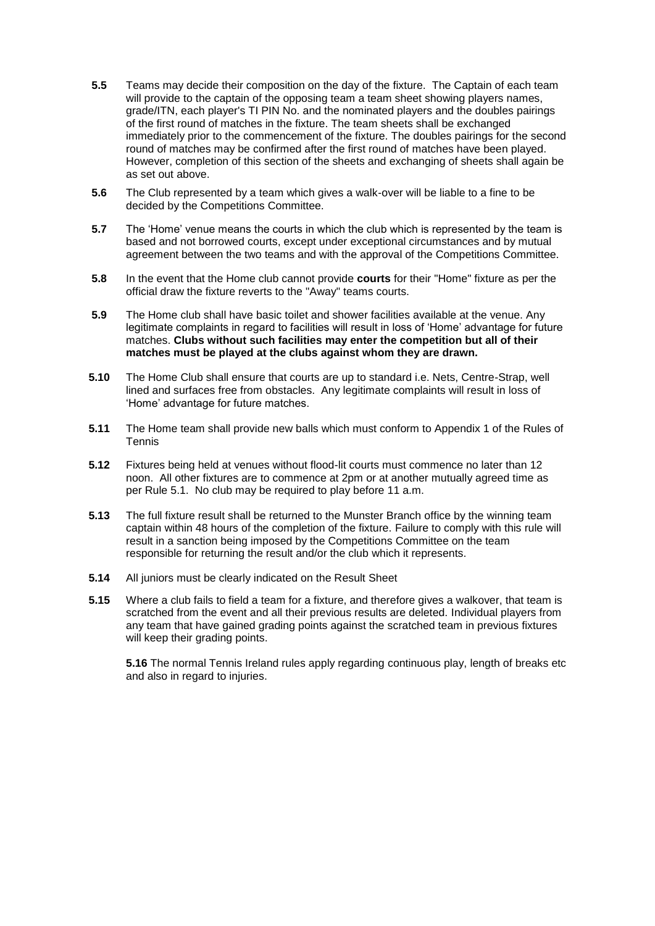- **5.5** Teams may decide their composition on the day of the fixture. The Captain of each team will provide to the captain of the opposing team a team sheet showing players names, grade/ITN, each player's TI PIN No. and the nominated players and the doubles pairings of the first round of matches in the fixture. The team sheets shall be exchanged immediately prior to the commencement of the fixture. The doubles pairings for the second round of matches may be confirmed after the first round of matches have been played. However, completion of this section of the sheets and exchanging of sheets shall again be as set out above.
- **5.6** The Club represented by a team which gives a walk-over will be liable to a fine to be decided by the Competitions Committee.
- **5.7** The 'Home' venue means the courts in which the club which is represented by the team is based and not borrowed courts, except under exceptional circumstances and by mutual agreement between the two teams and with the approval of the Competitions Committee.
- **5.8** In the event that the Home club cannot provide **courts** for their "Home" fixture as per the official draw the fixture reverts to the "Away" teams courts.
- **5.9** The Home club shall have basic toilet and shower facilities available at the venue. Any legitimate complaints in regard to facilities will result in loss of 'Home' advantage for future matches. **Clubs without such facilities may enter the competition but all of their matches must be played at the clubs against whom they are drawn.**
- **5.10** The Home Club shall ensure that courts are up to standard i.e. Nets, Centre-Strap, well lined and surfaces free from obstacles. Any legitimate complaints will result in loss of 'Home' advantage for future matches.
- **5.11** The Home team shall provide new balls which must conform to Appendix 1 of the Rules of Tennis
- **5.12** Fixtures being held at venues without flood-lit courts must commence no later than 12 noon. All other fixtures are to commence at 2pm or at another mutually agreed time as per Rule 5.1. No club may be required to play before 11 a.m.
- **5.13** The full fixture result shall be returned to the Munster Branch office by the winning team captain within 48 hours of the completion of the fixture. Failure to comply with this rule will result in a sanction being imposed by the Competitions Committee on the team responsible for returning the result and/or the club which it represents.
- **5.14** All juniors must be clearly indicated on the Result Sheet
- **5.15** Where a club fails to field a team for a fixture, and therefore gives a walkover, that team is scratched from the event and all their previous results are deleted. Individual players from any team that have gained grading points against the scratched team in previous fixtures will keep their grading points.

**5.16** The normal Tennis Ireland rules apply regarding continuous play, length of breaks etc and also in regard to injuries.